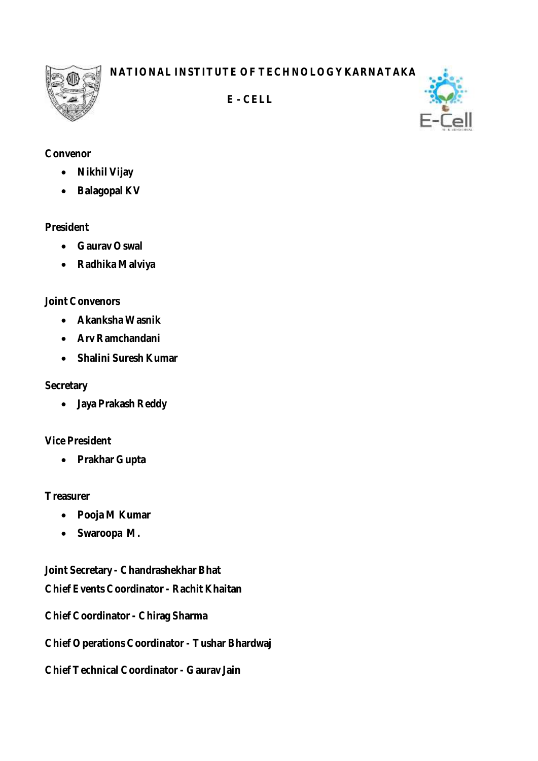**NATIONAL INSTITUTE OF TECHNOLOGY KARNATAKA**



 **E - CELL**



# **Convenor**

- **Nikhil Vijay**
- **Balagopal KV**

#### **President**

- **Gaurav Oswal**
- **Radhika Malviya**

# **Joint Convenors**

- **Akanksha Wasnik**
- **Arv Ramchandani**
- **Shalini Suresh Kumar**

### **Secretary**

**Jaya Prakash Reddy**

# **Vice President**

**Prakhar Gupta**

# **Treasurer**

- **Pooja M Kumar**
- **Swaroopa M.**

**Joint Secretary - Chandrashekhar Bhat**

**Chief Events Coordinator - Rachit Khaitan**

**Chief Coordinator - Chirag Sharma**

**Chief Operations Coordinator - Tushar Bhardwaj**

**Chief Technical Coordinator - Gaurav Jain**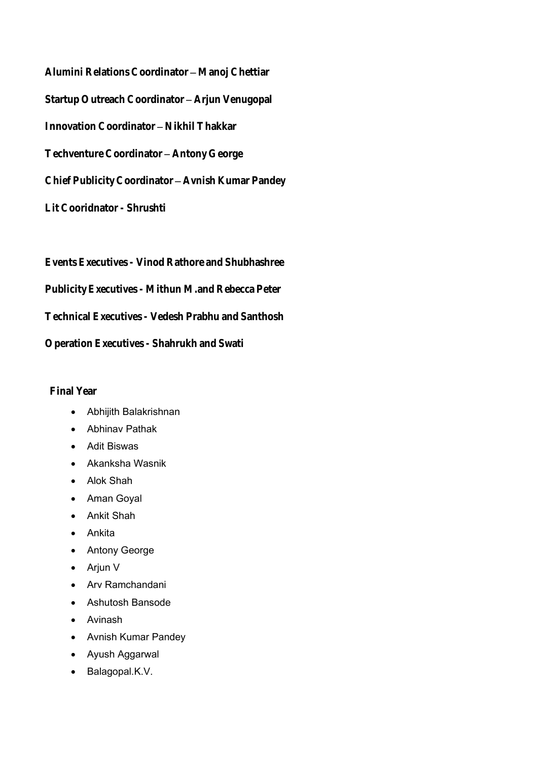**Alumini Relations Coordinator - Manoj Chettiar** Startup Outreach Coordinator - Arjun Venugopal **Innovation Coordinator - Nikhil Thakkar Techventure Coordinator Antony George Chief Publicity Coordinator Avnish Kumar Pandey Lit Cooridnator - Shrushti**

**Events Executives - Vinod Rathore and Shubhashree Publicity Executives - Mithun M.and Rebecca Peter Technical Executives - Vedesh Prabhu and Santhosh**

**Operation Executives - Shahrukh and Swati**

**Final Year**

- Abhijith Balakrishnan
- Abhinav Pathak
- Adit Biswas
- Akanksha Wasnik
- Alok Shah
- Aman Goyal
- Ankit Shah
- Ankita
- Antony George
- Arjun V
- Arv Ramchandani
- Ashutosh Bansode
- Avinash
- Avnish Kumar Pandey
- Ayush Aggarwal
- Balagopal.K.V.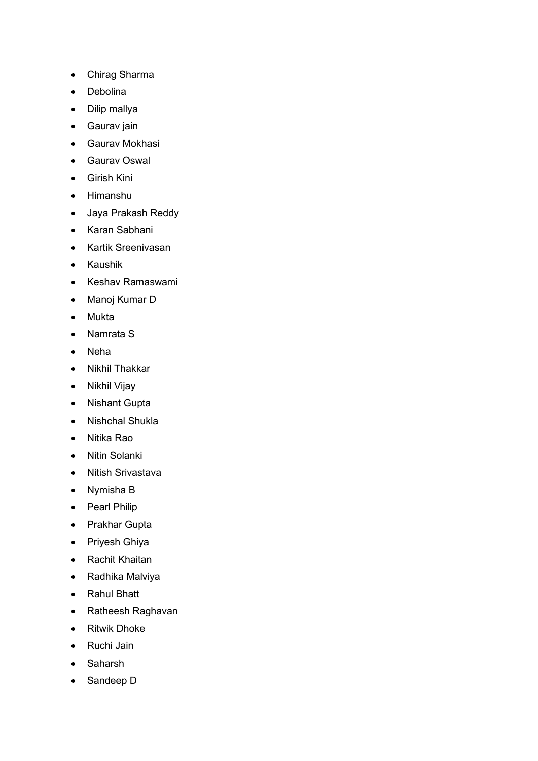- Chirag Sharma
- Debolina
- Dilip mallya
- Gaurav jain
- Gaurav Mokhasi
- Gaurav Oswal
- Girish Kini
- Himanshu
- Jaya Prakash Reddy
- Karan Sabhani
- Kartik Sreenivasan
- Kaushik
- Keshav Ramaswami
- Manoj Kumar D
- Mukta
- Namrata S
- Neha
- Nikhil Thakkar
- Nikhil Vijay
- Nishant Gupta
- Nishchal Shukla
- Nitika Rao
- Nitin Solanki
- Nitish Srivastava
- Nymisha B
- Pearl Philip
- Prakhar Gupta
- Priyesh Ghiya
- Rachit Khaitan
- Radhika Malviya
- Rahul Bhatt
- Ratheesh Raghavan
- Ritwik Dhoke
- Ruchi Jain
- Saharsh
- Sandeep D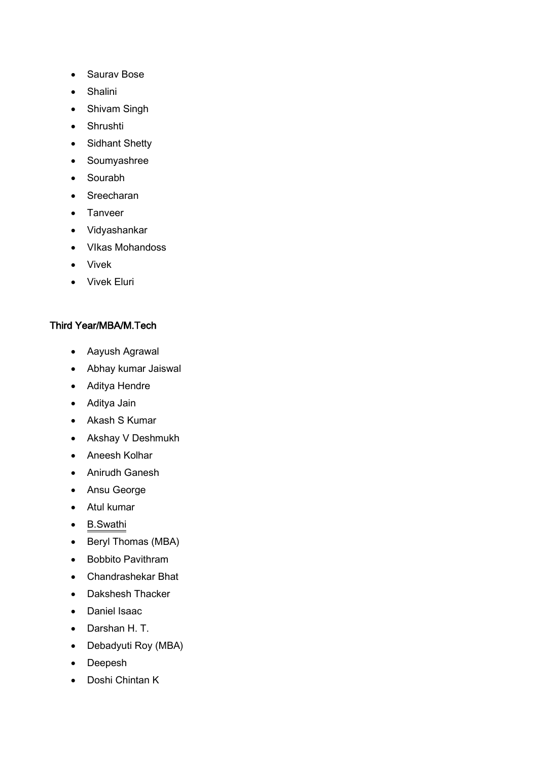- Saurav Bose
- Shalini
- Shivam Singh
- Shrushti
- Sidhant Shetty
- Soumyashree
- Sourabh
- Sreecharan
- Tanveer
- Vidyashankar
- VIkas Mohandoss
- Vivek
- Vivek Eluri

#### Third Year/MBA/M.Tech

- Aayush Agrawal
- Abhay kumar Jaiswal
- Aditya Hendre
- Aditya Jain
- Akash S Kumar
- Akshay V Deshmukh
- Aneesh Kolhar
- Anirudh Ganesh
- Ansu George
- Atul kumar
- B.Swathi
- Beryl Thomas (MBA)
- Bobbito Pavithram
- Chandrashekar Bhat
- Dakshesh Thacker
- Daniel Isaac
- Darshan H. T.
- Debadyuti Roy (MBA)
- Deepesh
- Doshi Chintan K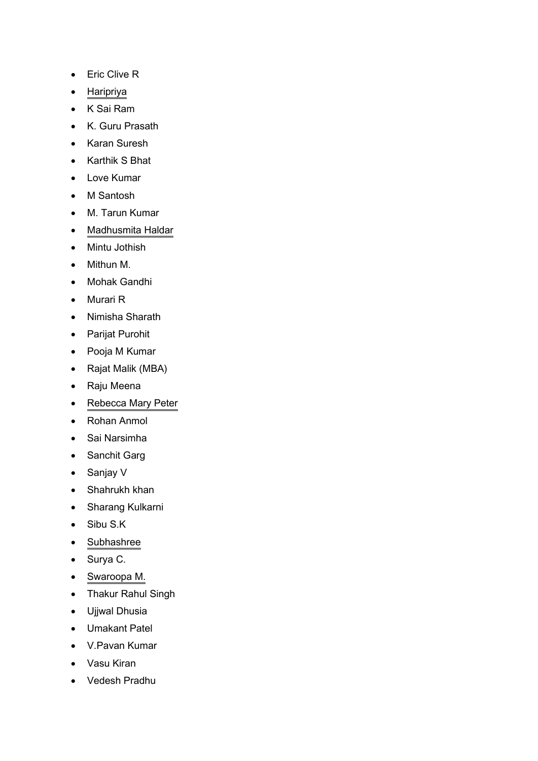- Eric Clive R
- Haripriya
- K Sai Ram
- K. Guru Prasath
- Karan Suresh
- Karthik S Bhat
- Love Kumar
- M Santosh
- M. Tarun Kumar
- Madhusmita Haldar
- Mintu Jothish
- Mithun M.
- Mohak Gandhi
- Murari R
- Nimisha Sharath
- Parijat Purohit
- Pooja M Kumar
- Rajat Malik (MBA)
- Raju Meena
- Rebecca Mary Peter
- Rohan Anmol
- Sai Narsimha
- Sanchit Garg
- Sanjay V
- Shahrukh khan
- Sharang Kulkarni
- Sibu S.K
- Subhashree
- Surya C.
- Swaroopa M.
- Thakur Rahul Singh
- Ujjwal Dhusia
- Umakant Patel
- V.Pavan Kumar
- Vasu Kiran
- Vedesh Pradhu